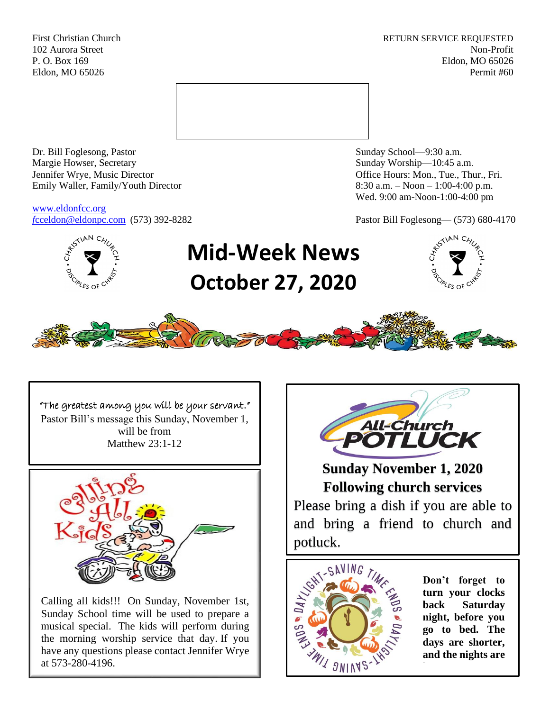First Christian Church **RETURN SERVICE REQUESTED** 102 Aurora Street Non-Profit P. O. Box 169 Eldon, MO 65026 Eldon, MO 65026 Permit #60



Dr. Bill Foglesong, Pastor Sunday School—9:30 a.m. Margie Howser, Secretary Sunday Worship—10:45 a.m. Jennifer Wrye, Music Director Office Hours: Mon., Tue., Thur., Fri. Emily Waller, Family/Youth Director 8:30 a.m. – Noon – 1:00-4:00 p.m.

[www.eldonfcc.org](http://www.eldonfcc.org/)

Wed. 9:00 am-Noon-1:00-4:00 pm

*f*[cceldon@eldonpc.com](mailto:fcceldon@eldonpc.com) (573) 392-8282 Pastor Bill Foglesong— (573) 680-4170



# **Mid-Week News October 27, 2020**





"The greatest among you will be your servant." Pastor Bill's message this Sunday, November 1, will be from Matthew 23:1-12



Calling all kids!!! On Sunday, November 1st, Sunday School time will be used to prepare a musical special. The kids will perform during the morning worship service that day. If you have any questions please contact Jennifer Wrye at 573-280-4196.



**Sunday November 1, 2020 Following church services**

Please bring a dish if you are able to and bring a friend to church and potluck.



**Don't forget to turn your clocks back Saturday night, before you go to bed. The days are shorter, and the nights are**